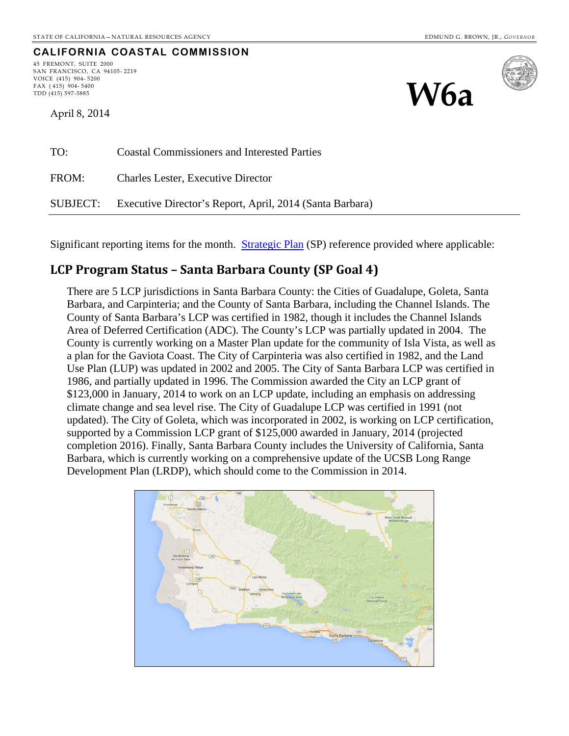#### **CALIFORNIA COASTAL COMMISSION**

45 FREMONT, SUITE 2000 SAN FRANCISCO, CA 94105- 2219 VOICE (415) 904- 5200 FAX (415) 904-5400<br>TDD (415) 597-5885  $\mathcal{W}_{\text{max (415) 597-5885}}$ 

April 8, 2014



| TO:      | <b>Coastal Commissioners and Interested Parties</b>      |
|----------|----------------------------------------------------------|
| FROM:    | <b>Charles Lester, Executive Director</b>                |
| SUBJECT: | Executive Director's Report, April, 2014 (Santa Barbara) |

Significant reporting items for the month. [Strategic Plan](http://www.coastal.ca.gov/strategicplan/CCC_Final_StrategicPlan_2013-2018.pdf) (SP) reference provided where applicable:

### **LCP Program Status – Santa Barbara County (SP Goal 4)**

There are 5 LCP jurisdictions in Santa Barbara County: the Cities of Guadalupe, Goleta, Santa Barbara, and Carpinteria; and the County of Santa Barbara, including the Channel Islands. The County of Santa Barbara's LCP was certified in 1982, though it includes the Channel Islands Area of Deferred Certification (ADC). The County's LCP was partially updated in 2004. The County is currently working on a Master Plan update for the community of Isla Vista, as well as a plan for the Gaviota Coast. The City of Carpinteria was also certified in 1982, and the Land Use Plan (LUP) was updated in 2002 and 2005. The City of Santa Barbara LCP was certified in 1986, and partially updated in 1996. The Commission awarded the City an LCP grant of \$123,000 in January, 2014 to work on an LCP update, including an emphasis on addressing climate change and sea level rise. The City of Guadalupe LCP was certified in 1991 (not updated). The City of Goleta, which was incorporated in 2002, is working on LCP certification, supported by a Commission LCP grant of \$125,000 awarded in January, 2014 (projected completion 2016). Finally, Santa Barbara County includes the University of California, Santa Barbara, which is currently working on a comprehensive update of the UCSB Long Range Development Plan (LRDP), which should come to the Commission in 2014.